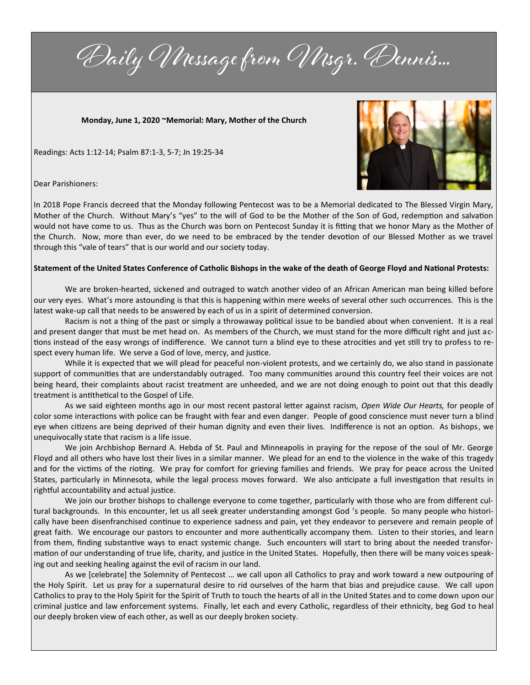Daily Message from Msgr. Dennis...

**Monday, June 1, 2020 ~Memorial: Mary, Mother of the Church**

Readings: Acts 1:12-14; Psalm 87:1-3, 5-7; Jn 19:25-34



Dear Parishioners:

In 2018 Pope Francis decreed that the Monday following Pentecost was to be a Memorial dedicated to The Blessed Virgin Mary, Mother of the Church. Without Mary's "yes" to the will of God to be the Mother of the Son of God, redemption and salvation would not have come to us. Thus as the Church was born on Pentecost Sunday it is fitting that we honor Mary as the Mother of the Church. Now, more than ever, do we need to be embraced by the tender devotion of our Blessed Mother as we travel through this "vale of tears" that is our world and our society today.

## **Statement of the United States Conference of Catholic Bishops in the wake of the death of George Floyd and National Protests:**

We are broken-hearted, sickened and outraged to watch another video of an African American man being killed before our very eyes. What's more astounding is that this is happening within mere weeks of several other such occurrences. This is the latest wake-up call that needs to be answered by each of us in a spirit of determined conversion.

Racism is not a thing of the past or simply a throwaway political issue to be bandied about when convenient. It is a real and present danger that must be met head on. As members of the Church, we must stand for the more difficult right and just actions instead of the easy wrongs of indifference. We cannot turn a blind eye to these atrocities and yet still try to profess to respect every human life. We serve a God of love, mercy, and justice.

While it is expected that we will plead for peaceful non-violent protests, and we certainly do, we also stand in passionate support of communities that are understandably outraged. Too many communities around this country feel their voices are not being heard, their complaints about racist treatment are unheeded, and we are not doing enough to point out that this deadly treatment is antithetical to the Gospel of Life.

As we said eighteen months ago in our most recent pastoral letter against racism, *Open Wide Our Hearts,* for people of color some interactions with police can be fraught with fear and even danger. People of good conscience must never turn a blind eye when citizens are being deprived of their human dignity and even their lives. Indifference is not an option. As bishops, we unequivocally state that racism is a life issue.

We join Archbishop Bernard A. Hebda of St. Paul and Minneapolis in praying for the repose of the soul of Mr. George Floyd and all others who have lost their lives in a similar manner. We plead for an end to the violence in the wake of this tragedy and for the victims of the rioting. We pray for comfort for grieving families and friends. We pray for peace across the United States, particularly in Minnesota, while the legal process moves forward. We also anticipate a full investigation that results in rightful accountability and actual justice.

We join our brother bishops to challenge everyone to come together, particularly with those who are from different cultural backgrounds. In this encounter, let us all seek greater understanding amongst God 's people. So many people who historically have been disenfranchised continue to experience sadness and pain, yet they endeavor to persevere and remain people of great faith. We encourage our pastors to encounter and more authentically accompany them. Listen to their stories, and learn from them, finding substantive ways to enact systemic change. Such encounters will start to bring about the needed transformation of our understanding of true life, charity, and justice in the United States. Hopefully, then there will be many voices speaking out and seeking healing against the evil of racism in our land.

As we [celebrate] the Solemnity of Pentecost … we call upon all Catholics to pray and work toward a new outpouring of the Holy Spirit. Let us pray for a supernatural desire to rid ourselves of the harm that bias and prejudice cause. We call upon Catholics to pray to the Holy Spirit for the Spirit of Truth to touch the hearts of all in the United States and to come down upon our criminal justice and law enforcement systems. Finally, let each and every Catholic, regardless of their ethnicity, beg God to heal our deeply broken view of each other, as well as our deeply broken society.